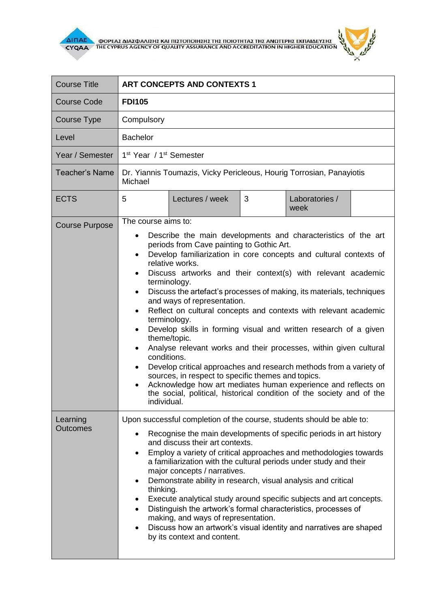



| <b>Course Title</b>         | <b>ART CONCEPTS AND CONTEXTS 1</b>                                                                                                                                                                                                                                                                                                                                                                                                                                                                                                                                                                                                                                                                                                                                                                                                                                                                                                                                                                                                       |  |  |
|-----------------------------|------------------------------------------------------------------------------------------------------------------------------------------------------------------------------------------------------------------------------------------------------------------------------------------------------------------------------------------------------------------------------------------------------------------------------------------------------------------------------------------------------------------------------------------------------------------------------------------------------------------------------------------------------------------------------------------------------------------------------------------------------------------------------------------------------------------------------------------------------------------------------------------------------------------------------------------------------------------------------------------------------------------------------------------|--|--|
| <b>Course Code</b>          | <b>FDI105</b>                                                                                                                                                                                                                                                                                                                                                                                                                                                                                                                                                                                                                                                                                                                                                                                                                                                                                                                                                                                                                            |  |  |
| Course Type                 | Compulsory                                                                                                                                                                                                                                                                                                                                                                                                                                                                                                                                                                                                                                                                                                                                                                                                                                                                                                                                                                                                                               |  |  |
| Level                       | <b>Bachelor</b>                                                                                                                                                                                                                                                                                                                                                                                                                                                                                                                                                                                                                                                                                                                                                                                                                                                                                                                                                                                                                          |  |  |
| Year / Semester             | 1 <sup>st</sup> Year / 1 <sup>st</sup> Semester                                                                                                                                                                                                                                                                                                                                                                                                                                                                                                                                                                                                                                                                                                                                                                                                                                                                                                                                                                                          |  |  |
| <b>Teacher's Name</b>       | Dr. Yiannis Toumazis, Vicky Pericleous, Hourig Torrosian, Panayiotis<br>Michael                                                                                                                                                                                                                                                                                                                                                                                                                                                                                                                                                                                                                                                                                                                                                                                                                                                                                                                                                          |  |  |
| <b>ECTS</b>                 | 5<br>Lectures / week<br>3<br>Laboratories /<br>week                                                                                                                                                                                                                                                                                                                                                                                                                                                                                                                                                                                                                                                                                                                                                                                                                                                                                                                                                                                      |  |  |
| <b>Course Purpose</b>       | The course aims to:<br>Describe the main developments and characteristics of the art<br>$\bullet$<br>periods from Cave painting to Gothic Art.<br>Develop familiarization in core concepts and cultural contexts of<br>relative works.<br>Discuss artworks and their context(s) with relevant academic<br>$\bullet$<br>terminology.<br>Discuss the artefact's processes of making, its materials, techniques<br>$\bullet$<br>and ways of representation.<br>Reflect on cultural concepts and contexts with relevant academic<br>٠<br>terminology.<br>Develop skills in forming visual and written research of a given<br>$\bullet$<br>theme/topic.<br>Analyse relevant works and their processes, within given cultural<br>$\bullet$<br>conditions.<br>Develop critical approaches and research methods from a variety of<br>sources, in respect to specific themes and topics.<br>Acknowledge how art mediates human experience and reflects on<br>the social, political, historical condition of the society and of the<br>individual. |  |  |
| Learning<br><b>Outcomes</b> | Upon successful completion of the course, students should be able to:<br>Recognise the main developments of specific periods in art history<br>$\bullet$<br>and discuss their art contexts.<br>Employ a variety of critical approaches and methodologies towards<br>$\bullet$<br>a familiarization with the cultural periods under study and their<br>major concepts / narratives.<br>Demonstrate ability in research, visual analysis and critical<br>$\bullet$<br>thinking.<br>Execute analytical study around specific subjects and art concepts.<br>٠<br>Distinguish the artwork's formal characteristics, processes of<br>$\bullet$<br>making, and ways of representation.<br>Discuss how an artwork's visual identity and narratives are shaped<br>$\bullet$<br>by its context and content.                                                                                                                                                                                                                                        |  |  |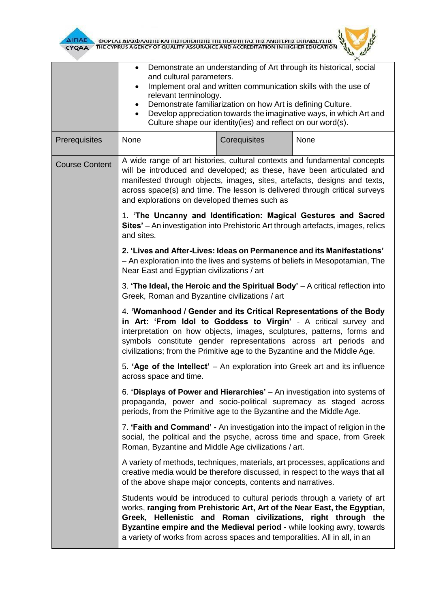

 $\overline{\Delta}$ INAE OOPEAE AIAE DANIEHE KAI NIETONOIHEHE THE NOIOTHTAE THE ANOTEPHE EKNAIAEYEHE



|                       | Demonstrate an understanding of Art through its historical, social<br>and cultural parameters.<br>Implement oral and written communication skills with the use of<br>$\bullet$<br>relevant terminology.<br>Demonstrate familiarization on how Art is defining Culture.<br>Develop appreciation towards the imaginative ways, in which Art and<br>$\bullet$<br>Culture shape our identity(ies) and reflect on our word(s). |              |                                                                                                                                                                                                                                                                                                  |  |
|-----------------------|---------------------------------------------------------------------------------------------------------------------------------------------------------------------------------------------------------------------------------------------------------------------------------------------------------------------------------------------------------------------------------------------------------------------------|--------------|--------------------------------------------------------------------------------------------------------------------------------------------------------------------------------------------------------------------------------------------------------------------------------------------------|--|
| Prerequisites         | None                                                                                                                                                                                                                                                                                                                                                                                                                      | Corequisites | None                                                                                                                                                                                                                                                                                             |  |
| <b>Course Content</b> | A wide range of art histories, cultural contexts and fundamental concepts<br>manifested through objects, images, sites, artefacts, designs and texts,<br>and explorations on developed themes such as                                                                                                                                                                                                                     |              | will be introduced and developed; as these, have been articulated and<br>across space(s) and time. The lesson is delivered through critical surveys                                                                                                                                              |  |
|                       | and sites.                                                                                                                                                                                                                                                                                                                                                                                                                |              | 1. 'The Uncanny and Identification: Magical Gestures and Sacred<br>Sites' - An investigation into Prehistoric Art through artefacts, images, relics                                                                                                                                              |  |
|                       | 2. 'Lives and After-Lives: Ideas on Permanence and its Manifestations'<br>- An exploration into the lives and systems of beliefs in Mesopotamian, The<br>Near East and Egyptian civilizations / art                                                                                                                                                                                                                       |              |                                                                                                                                                                                                                                                                                                  |  |
|                       | Greek, Roman and Byzantine civilizations / art                                                                                                                                                                                                                                                                                                                                                                            |              | 3. 'The Ideal, the Heroic and the Spiritual Body' $-$ A critical reflection into                                                                                                                                                                                                                 |  |
|                       | 4. 'Womanhood / Gender and its Critical Representations of the Body<br>interpretation on how objects, images, sculptures, patterns, forms and<br>symbols constitute gender representations across art periods and<br>civilizations; from the Primitive age to the Byzantine and the Middle Age.                                                                                                                           |              | in Art: 'From Idol to Goddess to Virgin' - A critical survey and                                                                                                                                                                                                                                 |  |
|                       | across space and time.                                                                                                                                                                                                                                                                                                                                                                                                    |              | 5. 'Age of the Intellect' – An exploration into Greek art and its influence                                                                                                                                                                                                                      |  |
|                       | periods, from the Primitive age to the Byzantine and the Middle Age.                                                                                                                                                                                                                                                                                                                                                      |              | 6. 'Displays of Power and Hierarchies' - An investigation into systems of<br>propaganda, power and socio-political supremacy as staged across                                                                                                                                                    |  |
|                       | Roman, Byzantine and Middle Age civilizations / art.                                                                                                                                                                                                                                                                                                                                                                      |              | 7. 'Faith and Command' - An investigation into the impact of religion in the<br>social, the political and the psyche, across time and space, from Greek                                                                                                                                          |  |
|                       | creative media would be therefore discussed, in respect to the ways that all<br>of the above shape major concepts, contents and narratives.                                                                                                                                                                                                                                                                               |              | A variety of methods, techniques, materials, art processes, applications and                                                                                                                                                                                                                     |  |
|                       | a variety of works from across spaces and temporalities. All in all, in an                                                                                                                                                                                                                                                                                                                                                |              | Students would be introduced to cultural periods through a variety of art<br>works, ranging from Prehistoric Art, Art of the Near East, the Egyptian,<br>Greek, Hellenistic and Roman civilizations, right through the<br>Byzantine empire and the Medieval period - while looking awry, towards |  |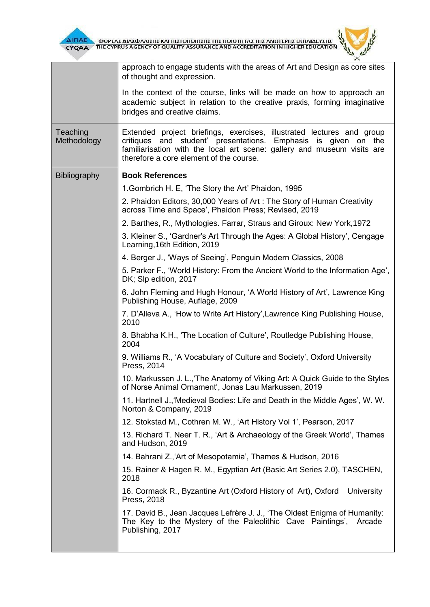

 $\overline{\Delta}$  (MODEA) AND THE CYPRUS AGENCY OF QUALITY ASSURANCE AND ACCREDITATION IN HIGHER EDUCATION



|                         | approach to engage students with the areas of Art and Design as core sites<br>of thought and expression.                                                                                                                                                         |
|-------------------------|------------------------------------------------------------------------------------------------------------------------------------------------------------------------------------------------------------------------------------------------------------------|
|                         | In the context of the course, links will be made on how to approach an<br>academic subject in relation to the creative praxis, forming imaginative<br>bridges and creative claims.                                                                               |
| Teaching<br>Methodology | Extended project briefings, exercises, illustrated lectures and group<br>critiques and student' presentations. Emphasis is given on<br>the<br>familiarisation with the local art scene: gallery and museum visits are<br>therefore a core element of the course. |
| <b>Bibliography</b>     | <b>Book References</b>                                                                                                                                                                                                                                           |
|                         | 1. Gombrich H. E, 'The Story the Art' Phaidon, 1995                                                                                                                                                                                                              |
|                         | 2. Phaidon Editors, 30,000 Years of Art: The Story of Human Creativity<br>across Time and Space', Phaidon Press; Revised, 2019                                                                                                                                   |
|                         | 2. Barthes, R., Mythologies. Farrar, Straus and Giroux: New York, 1972                                                                                                                                                                                           |
|                         | 3. Kleiner S., 'Gardner's Art Through the Ages: A Global History', Cengage<br>Learning, 16th Edition, 2019                                                                                                                                                       |
|                         | 4. Berger J., 'Ways of Seeing', Penguin Modern Classics, 2008                                                                                                                                                                                                    |
|                         | 5. Parker F., 'World History: From the Ancient World to the Information Age',<br>DK; Slp edition, 2017                                                                                                                                                           |
|                         | 6. John Fleming and Hugh Honour, 'A World History of Art', Lawrence King<br>Publishing House, Auflage, 2009                                                                                                                                                      |
|                         | 7. D'Alleva A., 'How to Write Art History', Lawrence King Publishing House,<br>2010                                                                                                                                                                              |
|                         | 8. Bhabha K.H., 'The Location of Culture', Routledge Publishing House,<br>2004                                                                                                                                                                                   |
|                         | 9. Williams R., 'A Vocabulary of Culture and Society', Oxford University<br>Press, 2014                                                                                                                                                                          |
|                         | 10. Markussen J. L., The Anatomy of Viking Art: A Quick Guide to the Styles<br>of Norse Animal Ornament', Jonas Lau Markussen, 2019                                                                                                                              |
|                         | 11. Hartnell J., Medieval Bodies: Life and Death in the Middle Ages', W. W.<br>Norton & Company, 2019                                                                                                                                                            |
|                         | 12. Stokstad M., Cothren M. W., 'Art History Vol 1', Pearson, 2017                                                                                                                                                                                               |
|                         | 13. Richard T. Neer T. R., 'Art & Archaeology of the Greek World', Thames<br>and Hudson, 2019                                                                                                                                                                    |
|                         | 14. Bahrani Z., Art of Mesopotamia', Thames & Hudson, 2016                                                                                                                                                                                                       |
|                         | 15. Rainer & Hagen R. M., Egyptian Art (Basic Art Series 2.0), TASCHEN,<br>2018                                                                                                                                                                                  |
|                         | 16. Cormack R., Byzantine Art (Oxford History of Art), Oxford<br>University<br>Press, 2018                                                                                                                                                                       |
|                         | 17. David B., Jean Jacques Lefrère J. J., 'The Oldest Enigma of Humanity:<br>The Key to the Mystery of the Paleolithic Cave Paintings',<br>Arcade<br>Publishing, 2017                                                                                            |
|                         |                                                                                                                                                                                                                                                                  |